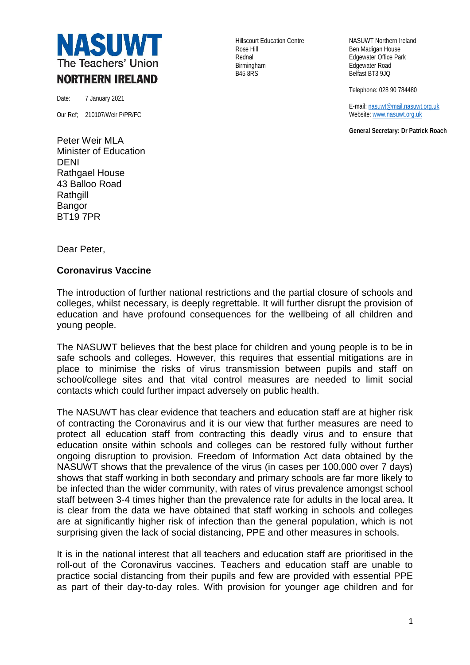

Date: 7 January 2021

Our Ref; 210107/Weir P/PR/FC

Peter Weir MLA Minister of Education DENI Rathgael House 43 Balloo Road **Rathgill** Bangor BT19 7PR

Rose Hill **Ben Madigan House** Rednal **Edgewater Office Park** Birmingham **Edgewater Road**<br>B45 8RS Belfast BT3 9JQ

Hillscourt Education Centre NASUWT Northern Ireland Belfast BT3 9JQ

Telephone: 028 90 784480

E-mail[: nasuwt@mail.nasuwt.org.uk](mailto:nasuwt@mail.nasuwt.org.uk) Website[: www.nasuwt.org.uk](http://www.nasuwt.org.uk/)

**General Secretary: Dr Patrick Roach**

Dear Peter,

## **Coronavirus Vaccine**

The introduction of further national restrictions and the partial closure of schools and colleges, whilst necessary, is deeply regrettable. It will further disrupt the provision of education and have profound consequences for the wellbeing of all children and young people.

The NASUWT believes that the best place for children and young people is to be in safe schools and colleges. However, this requires that essential mitigations are in place to minimise the risks of virus transmission between pupils and staff on school/college sites and that vital control measures are needed to limit social contacts which could further impact adversely on public health.

The NASUWT has clear evidence that teachers and education staff are at higher risk of contracting the Coronavirus and it is our view that further measures are need to protect all education staff from contracting this deadly virus and to ensure that education onsite within schools and colleges can be restored fully without further ongoing disruption to provision. Freedom of Information Act data obtained by the NASUWT shows that the prevalence of the virus (in cases per 100,000 over 7 days) shows that staff working in both secondary and primary schools are far more likely to be infected than the wider community, with rates of virus prevalence amongst school staff between 3-4 times higher than the prevalence rate for adults in the local area. It is clear from the data we have obtained that staff working in schools and colleges are at significantly higher risk of infection than the general population, which is not surprising given the lack of social distancing, PPE and other measures in schools.

It is in the national interest that all teachers and education staff are prioritised in the roll-out of the Coronavirus vaccines. Teachers and education staff are unable to practice social distancing from their pupils and few are provided with essential PPE as part of their day-to-day roles. With provision for younger age children and for